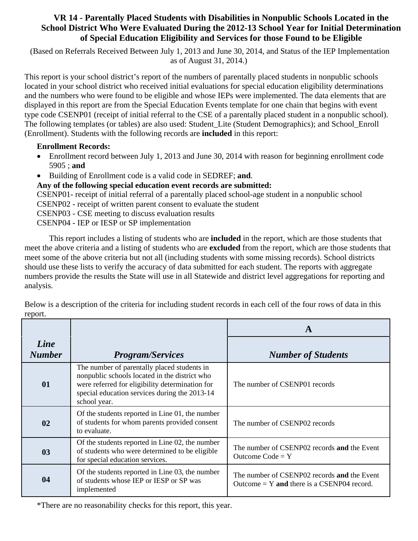## **VR 14 - Parentally Placed Students with Disabilities in Nonpublic Schools Located in the School District Who Were Evaluated During the 2012-13 School Year for Initial Determination of Special Education Eligibility and Services for those Found to be Eligible**

 (Based on Referrals Received Between July 1, 2013 and June 30, 2014, and Status of the IEP Implementation as of August 31, 2014.)

This report is your school district's report of the numbers of parentally placed students in nonpublic schools located in your school district who received initial evaluations for special education eligibility determinations and the numbers who were found to be eligible and whose IEPs were implemented. The data elements that are displayed in this report are from the Special Education Events template for one chain that begins with event type code CSENP01 (receipt of initial referral to the CSE of a parentally placed student in a nonpublic school). The following templates (or tables) are also used: Student\_Lite (Student Demographics); and School\_Enroll (Enrollment). Students with the following records are **included** in this report:

## **Enrollment Records:**

- Enrollment record between July 1, 2013 and June 30, 2014 with reason for beginning enrollment code 5905 ; **and**
- Building of Enrollment code is a valid code in SEDREF; **and**.

**Any of the following special education event records are submitted:** 

CSENP01- receipt of initial referral of a parentally placed school-age student in a nonpublic school

- CSENP02 receipt of written parent consent to evaluate the student
- CSENP03 CSE meeting to discuss evaluation results
- CSENP04 IEP or IESP or SP implementation

 This report includes a listing of students who are **included** in the report, which are those students that meet the above criteria and a listing of students who are **excluded** from the report, which are those students that meet some of the above criteria but not all (including students with some missing records). School districts should use these lists to verify the accuracy of data submitted for each student. The reports with aggregate numbers provide the results the State will use in all Statewide and district level aggregations for reporting and analysis.

|                       |                                                                                                                                                                                                                  | A                                                                                           |  |
|-----------------------|------------------------------------------------------------------------------------------------------------------------------------------------------------------------------------------------------------------|---------------------------------------------------------------------------------------------|--|
| Line<br><b>Number</b> | <b>Program/Services</b>                                                                                                                                                                                          | <b>Number of Students</b>                                                                   |  |
| 01                    | The number of parentally placed students in<br>nonpublic schools located in the district who<br>were referred for eligibility determination for<br>special education services during the 2013-14<br>school year. | The number of CSENP01 records                                                               |  |
| 02                    | Of the students reported in Line 01, the number<br>of students for whom parents provided consent<br>to evaluate.                                                                                                 | The number of CSENP02 records                                                               |  |
| 0 <sub>3</sub>        | Of the students reported in Line 02, the number<br>of students who were determined to be eligible<br>for special education services.                                                                             | The number of CSENP02 records and the Event<br>Outcome $Code = Y$                           |  |
| 04                    | Of the students reported in Line 03, the number<br>of students whose IEP or IESP or SP was<br>implemented                                                                                                        | The number of CSENP02 records and the Event<br>Outcome $= Y$ and there is a CSENP04 record. |  |

Below is a description of the criteria for including student records in each cell of the four rows of data in this report.

\*There are no reasonability checks for this report, this year.